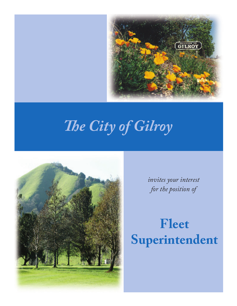

# *The City of Gilroy*



*invites your interest for the position of* 

# **Fleet Superintendent**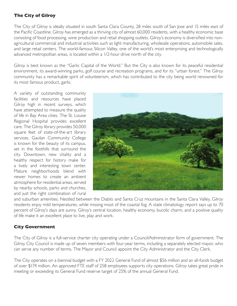### **The City of Gilroy**

The City of Gilroy is ideally situated in south Santa Clara County, 28 miles south of San Jose and 15 miles east of the Pacific Coastline. Gilroy has emerged as a thriving city of almost 60,000 residents, with a healthy economic base consisting of food processing, wine production and retail shopping outlets. Gilroy's economy is diversified into nonagricultural commercial and industrial activities such as light manufacturing, wholesale operations, automobile sales, and large retail centers. The world-famous Silicon Valley, one of the world's most enterprising and technologically advanced metropolitan areas, is located within a 1/2-hour drive north of the city.

Gilroy is best known as the "Garlic Capital of the World." But the City is also known for its peaceful residential environment, its award-winning parks, golf course and recreation programs, and for its "urban forest." The Gilroy community has a remarkable spirit of volunteerism, which has contributed to the city being world renowned for its most famous product, garlic.

A variety of outstanding community facilities and resources have placed Gilroy high in recent surveys, which have attempted to measure the quality of life in Bay Area cities. The St. Louise Regional Hospital provides excellent care. The Gilroy library provides 50,000 square feet of state-of-the-art library services. Gavilan Community College is known for the beauty of its campus, set in the foothills that surround the city. Downtown, new vitality and a healthy respect for history make for a lively and interesting town center. Mature neighborhoods blend with newer homes to create an ambient atmosphere for residential areas, served by nearby schools, parks and churches, and just the right combination of rural



and suburban amenities. Nestled between the Diablo and Santa Cruz mountains in the Santa Clara Valley, Gilroy residents enjoy mild temperatures, while missing most of the coastal fog. A state climatology report says up to 70 percent of Gilroy's days are sunny. Gilroy's central location, healthy economy, bucolic charm, and a positive quality of life make it an excellent place to live, play and work.

# **City Government**

The City of Gilroy is a full-service charter city operating under a Council/Administrator form of government. The Gilroy City Council is made up of seven members with four-year terms, including a separately elected mayor, who can serve any number of terms. The Mayor and Council appoint the City Administrator and the City Clerk.

The City operates on a biennial budget with a FY 2022 General Fund of almost \$56 million and an all-funds budget of over \$174 million. An approved FTE staff of 258 employees supports city operations. Gilroy takes great pride in meeting or exceeding its General Fund reserve target of 25% of the annual General Fund.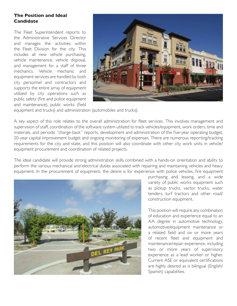#### **The Position and Ideal Candidate**

The Fleet Superintendent reports to the Administrative Services Director and manages the activities within the Fleet Division for the city. This includes all new vehicle purchasing, vehicle maintenance, vehicle disposal, and management for a staff of three mechanics. Vehicle mechanic and equipment services are handled by both city personnel and contractors and supports the entire array of equipment utilized by city operations such as public safety (fire and police equipment and maintenance), public works (field



equipment and trucks) and administration (automobiles and trucks).

A key aspect of this role relates to the overall administration for fleet services. This involves management and supervision of staff, coordination of the software system utilized to track vehicles/equipment, work orders, time and materials, and periodic "charge-back" reports, development and administration of the five-year operating budget, 20-year capital improvement budget and ongoing monitoring of expenses. There are numerous reporting/tracking requirements for the city and state, and this position will also coordinate with other city work units in vehicle/ equipment procurement and coordination of related projects.

The ideal candidate will provide strong administration skills combined with a hands-on orientation and ability to perform the various mechanical and electrical duties associated with repairing and maintaining vehicles and heavy equipment. In the procurement of equipment, the desire is for experience with police vehicles, fire equipment



purchasing and leasing, and a wide variety of public works equipment such as pickup trucks, vactor trucks, water tenders, turf tractors and other road/ construction equipment.

This position will require any combination of education and experience equal to an AA degree in automotive technology, automotive/equipment maintenance or a related field and six or more years of recent fleet and equipment and maintenance/repair experience, including two or more years of supervisory experience as a lead worker or higher. Current ASE or equivalent certifications are highly desired as is bilingual (English/ Spanish) capabilities.